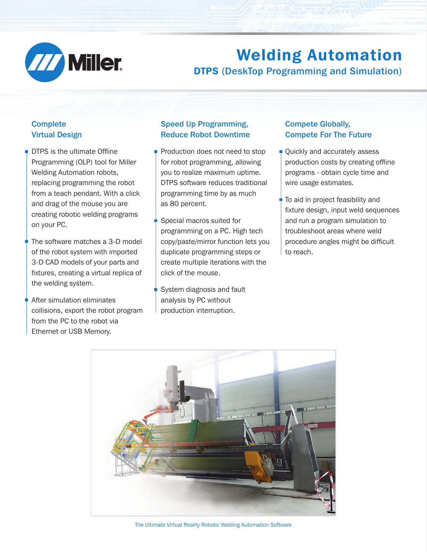

# Welding Automation DTPS (DeskTop Programming and Simulation)

## **Complete** Virtual Design

- **DTPS** is the ultimate Offline Programming (OLP) tool for Miller Welding Automation robots, replacing programming the robot from a teach pendant. With a click and drag of the mouse you are creating robotic welding programs on your PC.
- The software matches a 3-D model of the robot system with imported 3-D CAD models of your parts and fixtures, creating a virtual replica of the welding system.
- After simulation eliminates collisions, export the robot program from the PC to the robot via Ethernet or USB Memory.

### Speed Up Programming, Reduce Robot Downtime

- Production does not need to stop for robot programming, allowing you to realize maximum uptime. DTPS software reduces traditional programming time by as much as 80 percent.
- Special macros suited for programming on a PC. High tech copy/paste/mirror function lets you duplicate programming steps or create multiple iterations with the click of the mouse.
- System diagnosis and fault analysis by PC without production interruption.

## Compete Globally, Compete For The Future

- **□ Quickly and accurately assess** production costs by creating offline programs - obtain cycle time and wire usage estimates.
	- To aid in project feasibility and fixture design, input weld sequences and run a program simulation to troubleshoot areas where weld procedure angles might be difficult to reach.



The Ultimate Virtual Reality Robotic Welding Automation Software